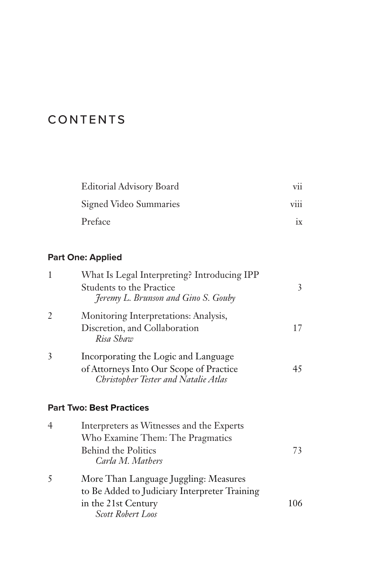## CONTENTS

| <b>Editorial Advisory Board</b> | V11              |
|---------------------------------|------------------|
| Signed Video Summaries          | $\cdots$<br>V111 |
| Preface                         | 1X               |

## **Part One: Applied**

| What Is Legal Interpreting? Introducing IPP                                                                             |    |
|-------------------------------------------------------------------------------------------------------------------------|----|
| Students to the Practice<br>Jeremy L. Brunson and Gino S. Gouby                                                         | 3  |
| Monitoring Interpretations: Analysis,                                                                                   |    |
| Discretion, and Collaboration<br>Risa Shaw                                                                              | 17 |
| Incorporating the Logic and Language<br>of Attorneys Into Our Scope of Practice<br>Christopher Tester and Natalie Atlas | 45 |
|                                                                                                                         |    |

## **Part Two: Best Practices**

| $\overline{4}$<br>Interpreters as Witnesses and the Experts |                                               |     |
|-------------------------------------------------------------|-----------------------------------------------|-----|
|                                                             | Who Examine Them: The Pragmatics              |     |
|                                                             | <b>Behind the Politics</b>                    | 73  |
|                                                             | Carla M. Mathers                              |     |
| 5                                                           | More Than Language Juggling: Measures         |     |
|                                                             | to Be Added to Judiciary Interpreter Training |     |
|                                                             | in the 21st Century                           | 106 |
|                                                             | Scott Robert Loos                             |     |